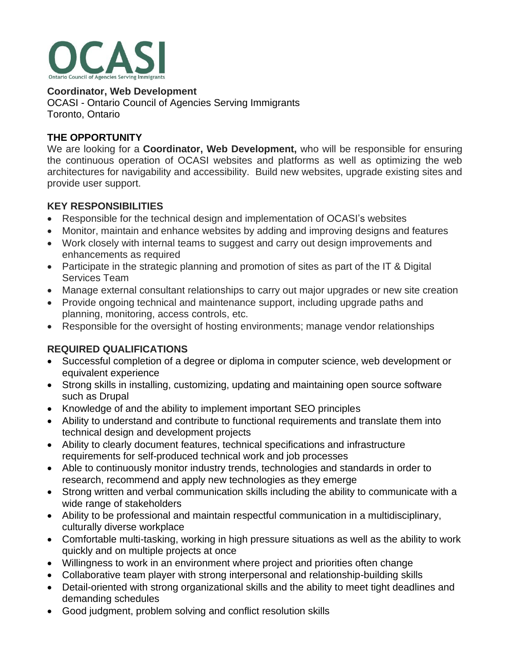

**Coordinator, Web Development** OCASI - Ontario Council of Agencies Serving Immigrants Toronto, Ontario

## **THE OPPORTUNITY**

We are looking for a **Coordinator, Web Development,** who will be responsible for ensuring the continuous operation of OCASI websites and platforms as well as optimizing the web architectures for navigability and accessibility. Build new websites, upgrade existing sites and provide user support.

## **KEY RESPONSIBILITIES**

- Responsible for the technical design and implementation of OCASI's websites
- Monitor, maintain and enhance websites by adding and improving designs and features
- Work closely with internal teams to suggest and carry out design improvements and enhancements as required
- Participate in the strategic planning and promotion of sites as part of the IT & Digital Services Team
- Manage external consultant relationships to carry out major upgrades or new site creation
- Provide ongoing technical and maintenance support, including upgrade paths and planning, monitoring, access controls, etc.
- Responsible for the oversight of hosting environments; manage vendor relationships

# **REQUIRED QUALIFICATIONS**

- Successful completion of a degree or diploma in computer science, web development or equivalent experience
- Strong skills in installing, customizing, updating and maintaining open source software such as Drupal
- Knowledge of and the ability to implement important SEO principles
- Ability to understand and contribute to functional requirements and translate them into technical design and development projects
- Ability to clearly document features, technical specifications and infrastructure requirements for self-produced technical work and job processes
- Able to continuously monitor industry trends, technologies and standards in order to research, recommend and apply new technologies as they emerge
- Strong written and verbal communication skills including the ability to communicate with a wide range of stakeholders
- Ability to be professional and maintain respectful communication in a multidisciplinary, culturally diverse workplace
- Comfortable multi-tasking, working in high pressure situations as well as the ability to work quickly and on multiple projects at once
- Willingness to work in an environment where project and priorities often change
- Collaborative team player with strong interpersonal and relationship-building skills
- Detail-oriented with strong organizational skills and the ability to meet tight deadlines and demanding schedules
- Good judgment, problem solving and conflict resolution skills